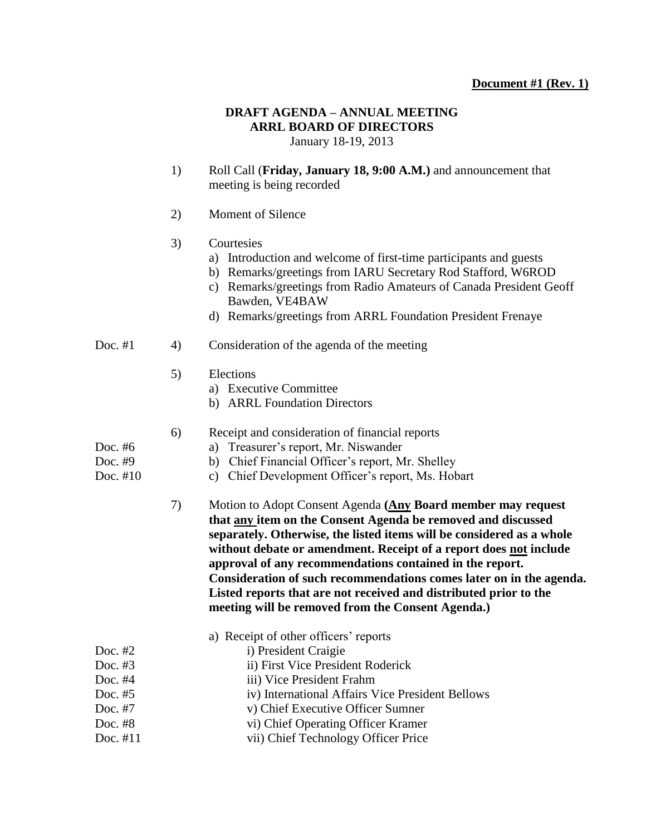# **Document #1 (Rev. 1)**

#### **DRAFT AGENDA – ANNUAL MEETING ARRL BOARD OF DIRECTORS** January 18-19, 2013

1) Roll Call (**Friday, January 18, 9:00 A.M.)** and announcement that meeting is being recorded

2) Moment of Silence

### 3) Courtesies

- a) Introduction and welcome of first-time participants and guests
- b) Remarks/greetings from IARU Secretary Rod Stafford, W6ROD
- c) Remarks/greetings from Radio Amateurs of Canada President Geoff Bawden, VE4BAW
- d) Remarks/greetings from ARRL Foundation President Frenaye

## Doc. #1 4) Consideration of the agenda of the meeting

- 5) Elections
	- a) Executive Committee
	- b) ARRL Foundation Directors
- 6) Receipt and consideration of financial reports
- Doc. #6 a) Treasurer's report, Mr. Niswander
- Doc. #9 b) Chief Financial Officer's report, Mr. Shelley
- Doc. #10 c) Chief Development Officer's report, Ms. Hobart
	- 7) Motion to Adopt Consent Agenda **(Any Board member may request that any item on the Consent Agenda be removed and discussed separately. Otherwise, the listed items will be considered as a whole without debate or amendment. Receipt of a report does not include approval of any recommendations contained in the report. Consideration of such recommendations comes later on in the agenda. Listed reports that are not received and distributed prior to the meeting will be removed from the Consent Agenda.)**

|            | a) Receipt of other officers' reports            |
|------------|--------------------------------------------------|
| Doc. $#2$  | i) President Craigie                             |
| Doc. $#3$  | ii) First Vice President Roderick                |
| Doc. $#4$  | iii) Vice President Frahm                        |
| Doc. $#5$  | iv) International Affairs Vice President Bellows |
| Doc. #7    | v) Chief Executive Officer Sumner                |
| Doc. $#8$  | vi) Chief Operating Officer Kramer               |
| Doc. $#11$ | vii) Chief Technology Officer Price              |

- 
-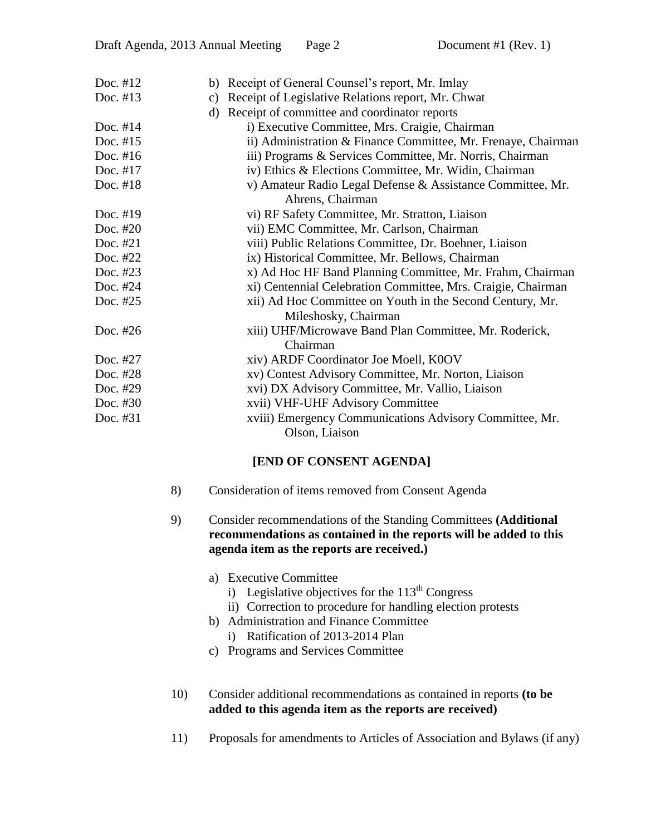| Doc. #12   | b) Receipt of General Counsel's report, Mr. Imlay             |
|------------|---------------------------------------------------------------|
| Doc. #13   | Receipt of Legislative Relations report, Mr. Chwat<br>c)      |
|            | Receipt of committee and coordinator reports<br>d)            |
| Doc. $#14$ | i) Executive Committee, Mrs. Craigie, Chairman                |
| Doc. #15   | ii) Administration & Finance Committee, Mr. Frenaye, Chairman |
| Doc. $#16$ | iii) Programs & Services Committee, Mr. Norris, Chairman      |
| Doc. #17   | iv) Ethics & Elections Committee, Mr. Widin, Chairman         |
| Doc. #18   | v) Amateur Radio Legal Defense & Assistance Committee, Mr.    |
|            | Ahrens, Chairman                                              |
| Doc. #19   | vi) RF Safety Committee, Mr. Stratton, Liaison                |
| Doc. #20   | vii) EMC Committee, Mr. Carlson, Chairman                     |
| Doc. #21   | viii) Public Relations Committee, Dr. Boehner, Liaison        |
| Doc. #22   | ix) Historical Committee, Mr. Bellows, Chairman               |
| Doc. #23   | x) Ad Hoc HF Band Planning Committee, Mr. Frahm, Chairman     |
| Doc. #24   | xi) Centennial Celebration Committee, Mrs. Craigie, Chairman  |
| Doc. #25   | xii) Ad Hoc Committee on Youth in the Second Century, Mr.     |
|            | Mileshosky, Chairman                                          |
| Doc. #26   | xiii) UHF/Microwave Band Plan Committee, Mr. Roderick,        |
|            | Chairman                                                      |
| Doc. #27   | xiv) ARDF Coordinator Joe Moell, K0OV                         |
| Doc. #28   | xv) Contest Advisory Committee, Mr. Norton, Liaison           |
| Doc. #29   | xvi) DX Advisory Committee, Mr. Vallio, Liaison               |
| Doc. $#30$ | xvii) VHF-UHF Advisory Committee                              |
| Doc. #31   | xviii) Emergency Communications Advisory Committee, Mr.       |
|            | Olson, Liaison                                                |

### **[END OF CONSENT AGENDA]**

- 8) Consideration of items removed from Consent Agenda
- 9) Consider recommendations of the Standing Committees **(Additional recommendations as contained in the reports will be added to this agenda item as the reports are received.)**
	- a) Executive Committee
		- i) Legislative objectives for the  $113<sup>th</sup>$  Congress
		- ii) Correction to procedure for handling election protests
	- b) Administration and Finance Committee
		- i) Ratification of 2013-2014 Plan
	- c) Programs and Services Committee
- 10) Consider additional recommendations as contained in reports **(to be added to this agenda item as the reports are received)**
- 11) Proposals for amendments to Articles of Association and Bylaws (if any)